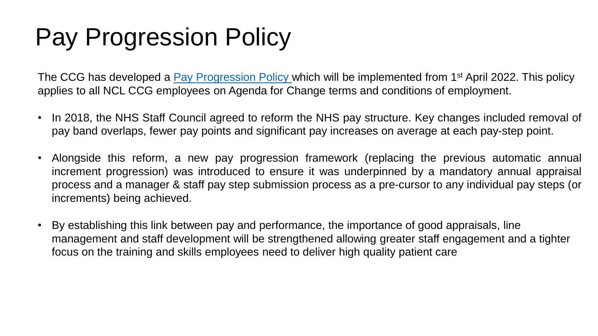## Pay Progression Policy

The CCG has developed a *Pay Progression Policy* which will be implemented from 1<sup>st</sup> April 2022. This policy applies to all NCL CCG employees on Agenda for Change terms and conditions of employment.

- In 2018, the NHS Staff Council agreed to reform the NHS pay structure. Key changes included removal of pay band overlaps, fewer pay points and significant pay increases on average at each pay-step point.
- Alongside this reform, a new pay progression framework (replacing the previous automatic annual increment progression) was introduced to ensure it was underpinned by a mandatory annual appraisal process and a manager & staff pay step submission process as a pre-cursor to any individual pay steps (or increments) being achieved.
- By establishing this link between pay and performance, the importance of good appraisals, line management and staff development will be strengthened allowing greater staff engagement and a tighter focus on the training and skills employees need to deliver high quality patient care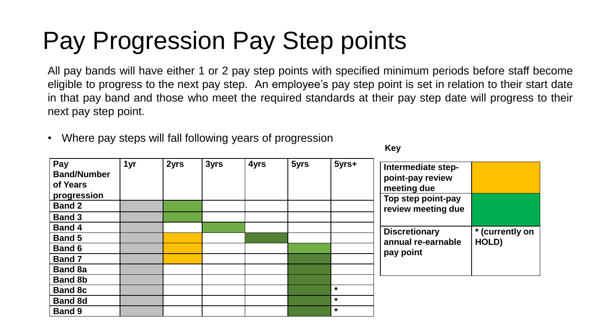# Pay Progression Pay Step points

All pay bands will have either 1 or 2 pay step points with specified minimum periods before staff become eligible to progress to the next pay step. An employee's pay step point is set in relation to their start date in that pay band and those who meet the required standards at their pay step date will progress to their next pay step point.

Where pay steps will fall following years of progression

| Pay<br><b>Band/Number</b><br>of Years<br>progression<br><b>Band 2</b><br><b>Band 3</b> | 1yr | 2yrs | 3yrs | 4yrs | 5yrs | 5yrs+                         | Intermediate step-<br>point-pay review<br>meeting due<br>Top step point-pay<br>review meeting due |                          |
|----------------------------------------------------------------------------------------|-----|------|------|------|------|-------------------------------|---------------------------------------------------------------------------------------------------|--------------------------|
| <b>Band 4</b><br><b>Band 5</b><br><b>Band 6</b><br><b>Band 7</b><br><b>Band 8a</b>     |     |      |      |      |      |                               | <b>Discretionary</b><br>annual re-earnable<br>pay point                                           | * (currently on<br>HOLD) |
| <b>Band 8b</b><br><b>Band 8c</b><br><b>Band 8d</b><br><b>Band 9</b>                    |     |      |      |      |      | $\star$<br>$\star$<br>$\star$ |                                                                                                   |                          |

**Key**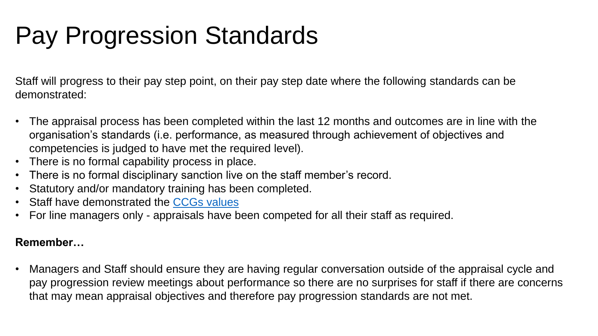# Pay Progression Standards

Staff will progress to their pay step point, on their pay step date where the following standards can be demonstrated:

- The appraisal process has been completed within the last 12 months and outcomes are in line with the organisation's standards (i.e. performance, as measured through achievement of objectives and competencies is judged to have met the required level).
- There is no formal capability process in place.
- There is no formal disciplinary sanction live on the staff member's record.
- Statutory and/or mandatory training has been completed.
- Staff have demonstrated the [CCGs values](https://intranet.northcentrallondonccg.nhs.uk/downloads/NCL%20CCG%20Priorities%20and%20Values.pdf)
- For line managers only appraisals have been competed for all their staff as required.

#### **Remember…**

• Managers and Staff should ensure they are having regular conversation outside of the appraisal cycle and pay progression review meetings about performance so there are no surprises for staff if there are concerns that may mean appraisal objectives and therefore pay progression standards are not met.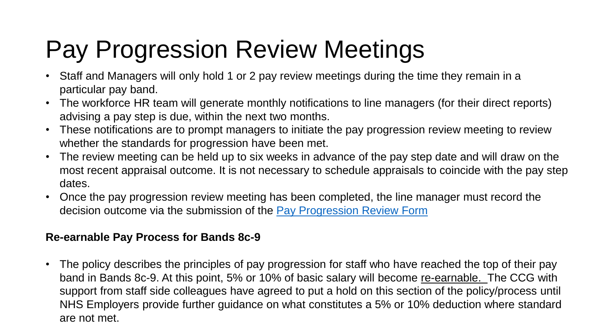# Pay Progression Review Meetings

- Staff and Managers will only hold 1 or 2 pay review meetings during the time they remain in a particular pay band.
- The workforce HR team will generate monthly notifications to line managers (for their direct reports) advising a pay step is due, within the next two months.
- These notifications are to prompt managers to initiate the pay progression review meeting to review whether the standards for progression have been met.
- The review meeting can be held up to six weeks in advance of the pay step date and will draw on the most recent appraisal outcome. It is not necessary to schedule appraisals to coincide with the pay step dates.
- Once the pay progression review meeting has been completed, the line manager must record the decision outcome via the submission of the [Pay Progression Review Form](https://intranet.northcentrallondonccg.nhs.uk/downloads/HR%20policies/Appendix%201%20Pay%20Progression%20Review%20Form.docx)

#### **Re-earnable Pay Process for Bands 8c-9**

• The policy describes the principles of pay progression for staff who have reached the top of their pay band in Bands 8c-9. At this point, 5% or 10% of basic salary will become re-earnable. The CCG with support from staff side colleagues have agreed to put a hold on this section of the policy/process until NHS Employers provide further guidance on what constitutes a 5% or 10% deduction where standard are not met.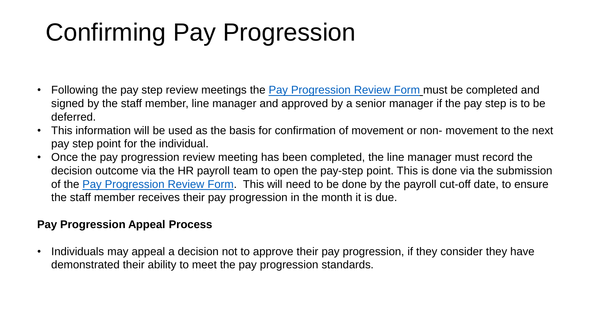# Confirming Pay Progression

- Following the pay step review meetings the [Pay Progression Review Form](https://intranet.northcentrallondonccg.nhs.uk/downloads/HR%20policies/Appendix%201%20Pay%20Progression%20Review%20Form.docx) must be completed and signed by the staff member, line manager and approved by a senior manager if the pay step is to be deferred.
- This information will be used as the basis for confirmation of movement or non- movement to the next pay step point for the individual.
- Once the pay progression review meeting has been completed, the line manager must record the decision outcome via the HR payroll team to open the pay-step point. This is done via the submission of the [Pay Progression Review Form](https://intranet.northcentrallondonccg.nhs.uk/downloads/HR%20policies/Appendix%201%20Pay%20Progression%20Review%20Form.docx). This will need to be done by the payroll cut-off date, to ensure the staff member receives their pay progression in the month it is due.

#### **Pay Progression Appeal Process**

• Individuals may appeal a decision not to approve their pay progression, if they consider they have demonstrated their ability to meet the pay progression standards.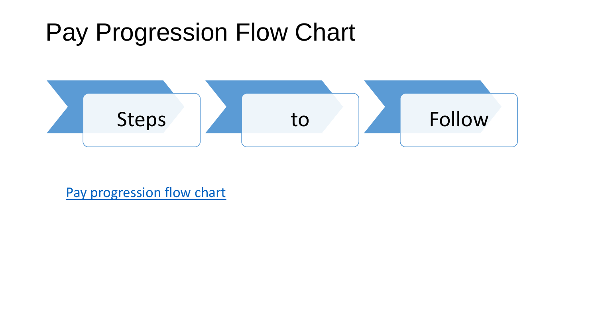### Pay Progression Flow Chart



[Pay progression flow chart](https://intranet.northcentrallondonccg.nhs.uk/downloads/HR%20policies/Appendix%204-Pay%20Progression%20Submission%20process.docx)